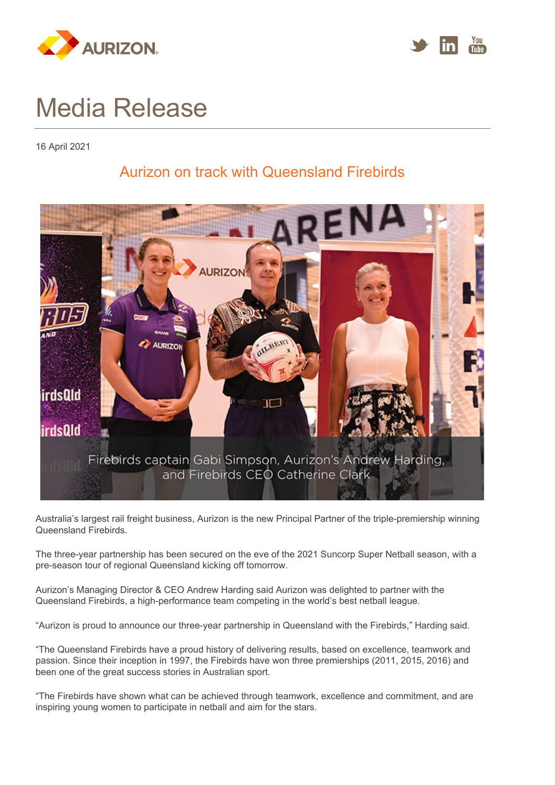



## Media Release

16 April 2021

## Aurizon on track with Queensland Firebirds



Australia's largest rail freight business, Aurizon is the new Principal Partner of the triple-premiership winning Queensland Firebirds.

The three-year partnership has been secured on the eve of the 2021 Suncorp Super Netball season, with a pre-season tour of regional Queensland kicking off tomorrow.

Aurizon's Managing Director & CEO Andrew Harding said Aurizon was delighted to partner with the Queensland Firebirds, a high-performance team competing in the world's best netball league.

"Aurizon is proud to announce our three-year partnership in Queensland with the Firebirds," Harding said.

"The Queensland Firebirds have a proud history of delivering results, based on excellence, teamwork and passion. Since their inception in 1997, the Firebirds have won three premierships (2011, 2015, 2016) and been one of the great success stories in Australian sport.

"The Firebirds have shown what can be achieved through teamwork, excellence and commitment, and are inspiring young women to participate in netball and aim for the stars.